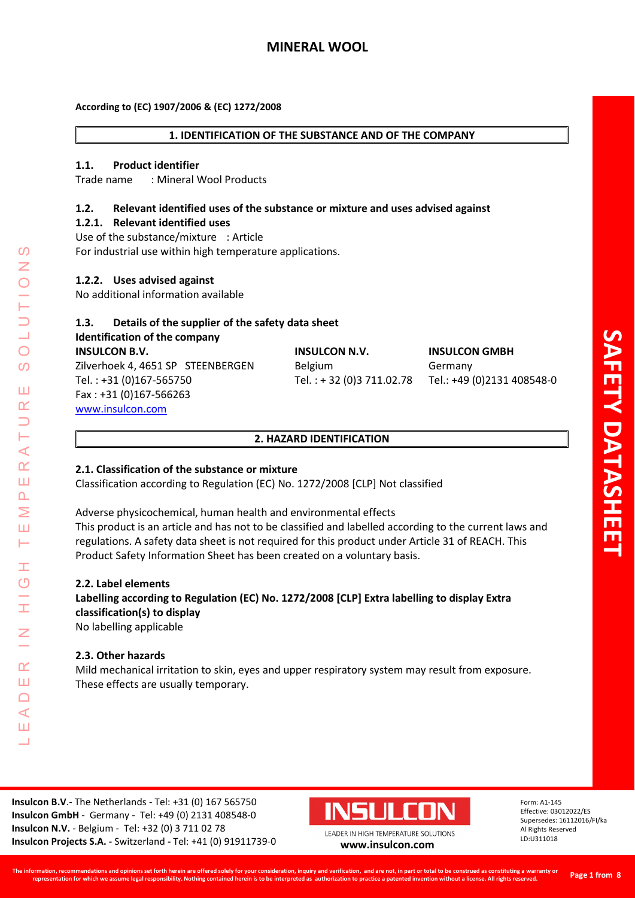# **MINERAL WOOL**

#### **1. IDENTIFICATION OF THE SUBSTANCE AND OF THE COMPANY**

#### **1.1. Product identifier**

Trade name : Mineral Wool Products

# **1.2. Relevant identified uses of the substance or mixture and uses advised against**

**1.2.1. Relevant identified uses**

Use of the substance/mixture : Article For industrial use within high temperature applications.

#### **1.2.2. Uses advised against**

No additional information available

# **1.3. Details of the supplier of the safety data sheet Identification of the company INSULCON B.V. INSULCON N.V. INSULCON GMBH**

Zilverhoek 4, 4651 SP STEENBERGEN Belgium Germany Tel. : +31 (0)167-565750 Tel. : + 32 (0)3 711.02.78 Tel.: +49 (0)2131 408548-0 Fax : +31 (0)167-566263 [www.insulcon.com](http://www.insulcon.com/)

#### **2. HAZARD IDENTIFICATION**

# **2.1. Classification of the substance or mixture**

Classification according to Regulation (EC) No. 1272/2008 [CLP] Not classified

Adverse physicochemical, human health and environmental effects This product is an article and has not to be classified and labelled according to the current laws and regulations. A safety data sheet is not required for this product under Article 31 of REACH. This Product Safety Information Sheet has been created on a voluntary basis.

#### **2.2. Label elements**

LEADER IN HIGH TEMPERATURE SOLUTIONS

Ŧ  $\overline{O}$ 

 $\alpha$ Ш  $\Box$  $\blacktriangleleft$ Ш  $\overline{\phantom{0}}$ 

⋖  $\alpha$ Ш  $\overline{\mathbf{r}}$ Σ Ш Н

 $\Omega$ 

 $\bigcirc$  $\Omega$ 

Ш  $\alpha$ 

# **Labelling according to Regulation (EC) No. 1272/2008 [CLP] Extra labelling to display Extra classification(s) to display**

No labelling applicable

#### **2.3. Other hazards**

Mild mechanical irritation to skin, eyes and upper respiratory system may result from exposure. These effects are usually temporary.

**Insulcon B.V**.- The Netherlands - Tel: +31 (0) 167 565750 **Insulcon GmbH** - Germany - Tel: +49 (0) 2131 408548-0 **Insulcon N.V.** - Belgium - Tel: +32 (0) 3 711 02 78 **Insulcon Projects S.A. -** Switzerland **-** Tel: +41 (0) 91911739-0 **[www.insulcon.com](http://www.insulcon.com/)**

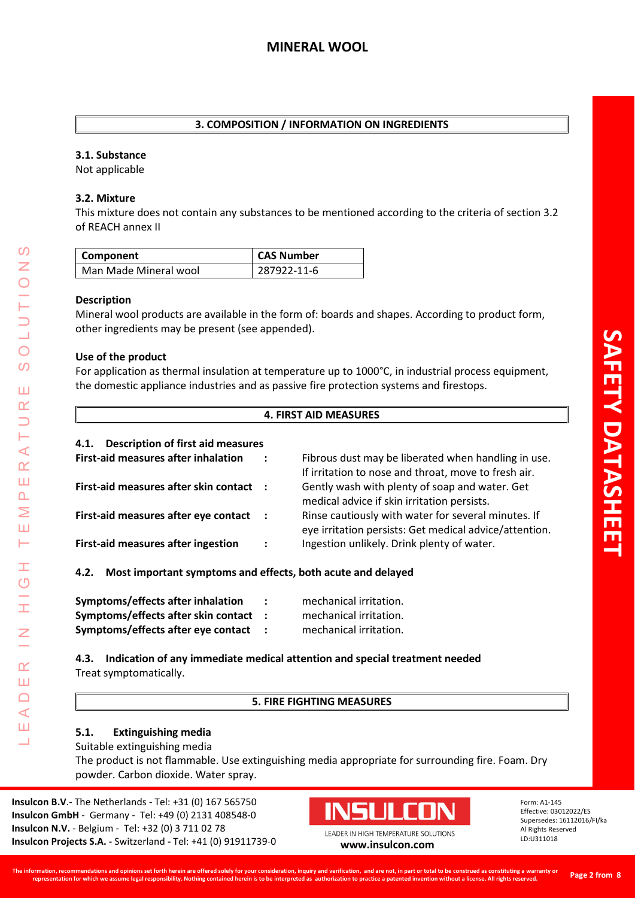# **3. COMPOSITION / INFORMATION ON INGREDIENTS**

#### **3.1. Substance**

Not applicable

#### **3.2. Mixture**

This mixture does not contain any substances to be mentioned according to the criteria of section 3.2 of REACH annex II

| Component             | <b>CAS Number</b> |
|-----------------------|-------------------|
| Man Made Mineral wool | 287922-11-6       |

#### **Description**

LEADER IN HIGH TEMPERATURE SOLUTIONS

Ŧ  $\overline{O}$ 

I

 $\alpha$ Ш  $\Box$  $\prec$ Ш  $\overline{\phantom{0}}$ 

 $\prec$  $\alpha$ Ш  $\overline{\mathbf{r}}$ Σ Ш Н

 $\Omega$ Z

 $\bigcirc$  $\Omega$ 

Ш  $\alpha$  $\Box$ 

Mineral wool products are available in the form of: boards and shapes. According to product form, other ingredients may be present (see appended).

#### **Use of the product**

For application as thermal insulation at temperature up to 1000°C, in industrial process equipment, the domestic appliance industries and as passive fire protection systems and firestops.

#### **4. FIRST AID MEASURES**

| <b>Description of first aid measures</b><br>4.1.                    |                                                                                                               |  |
|---------------------------------------------------------------------|---------------------------------------------------------------------------------------------------------------|--|
| <b>First-aid measures after inhalation</b>                          | Fibrous dust may be liberated when handling in use.<br>If irritation to nose and throat, move to fresh air.   |  |
| First-aid measures after skin contact :                             | Gently wash with plenty of soap and water. Get<br>medical advice if skin irritation persists.                 |  |
| First-aid measures after eye contact<br>$\mathbf{L}$                | Rinse cautiously with water for several minutes. If<br>eye irritation persists: Get medical advice/attention. |  |
| <b>First-aid measures after ingestion</b><br>$\ddot{\cdot}$         | Ingestion unlikely. Drink plenty of water.                                                                    |  |
| Most important symptoms and effects, both acute and delayed<br>4.2. |                                                                                                               |  |

| Symptoms/effects after inhalation   | ÷ | mechanical irritation. |
|-------------------------------------|---|------------------------|
| Symptoms/effects after skin contact |   | mechanical irritation. |
| Symptoms/effects after eye contact  |   | mechanical irritation. |

**4.3. Indication of any immediate medical attention and special treatment needed** Treat symptomatically.

#### **5. FIRE FIGHTING MEASURES**

# **5.1. Extinguishing media**

Suitable extinguishing media

The product is not flammable. Use extinguishing media appropriate for surrounding fire. Foam. Dry powder. Carbon dioxide. Water spray.

**Insulcon B.V**.- The Netherlands - Tel: +31 (0) 167 565750 **Insulcon GmbH** - Germany - Tel: +49 (0) 2131 408548-0 **Insulcon N.V.** - Belgium - Tel: +32 (0) 3 711 02 78 **Insulcon Projects S.A. -** Switzerland **-** Tel: +41 (0) 91911739-0 **[www.insulcon.com](http://www.insulcon.com/)**

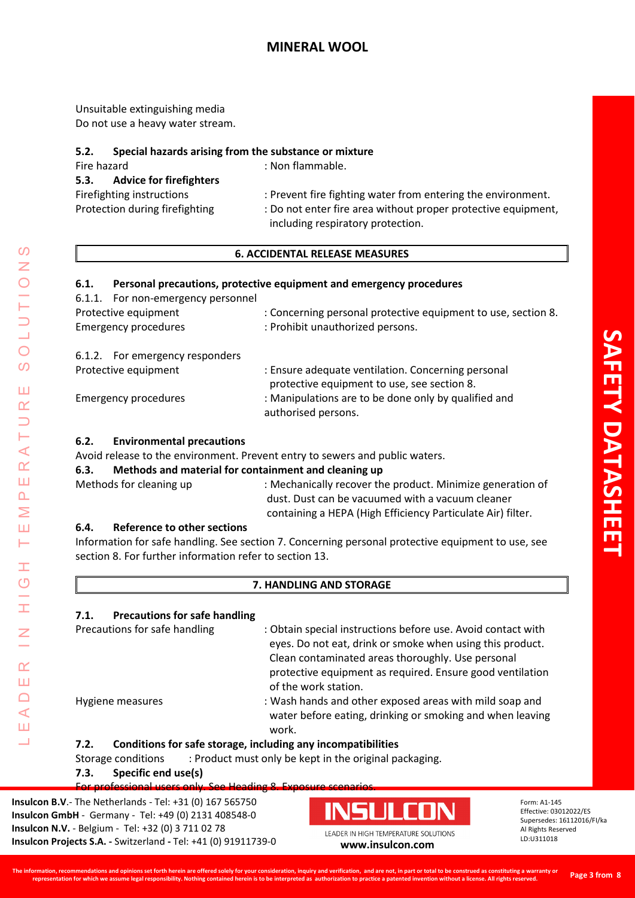Unsuitable extinguishing media Do not use a heavy water stream.

# **5.2. Special hazards arising from the substance or mixture**

| Fire hazard                            | : Non flammable.                                              |
|----------------------------------------|---------------------------------------------------------------|
| 5.3.<br><b>Advice for firefighters</b> |                                                               |
| Firefighting instructions              | : Prevent fire fighting water from entering the environment.  |
| Protection during firefighting         | : Do not enter fire area without proper protective equipment, |
|                                        | including respiratory protection.                             |

# **6. ACCIDENTAL RELEASE MEASURES**

# **6.1. Personal precautions, protective equipment and emergency procedures**

| 6.1.1. For non-emergency personnel |                                                                                                   |
|------------------------------------|---------------------------------------------------------------------------------------------------|
| Protective equipment               | : Concerning personal protective equipment to use, section 8.                                     |
| <b>Emergency procedures</b>        | : Prohibit unauthorized persons.                                                                  |
| 6.1.2. For emergency responders    |                                                                                                   |
| Protective equipment               | : Ensure adequate ventilation. Concerning personal<br>protective equipment to use, see section 8. |
| <b>Emergency procedures</b>        | : Manipulations are to be done only by qualified and<br>authorised persons.                       |
|                                    |                                                                                                   |

# **6.2. Environmental precautions**

Avoid release to the environment. Prevent entry to sewers and public waters.

# **6.3. Methods and material for containment and cleaning up**

| Methods for cleaning up | : Mechanically recover the product. Minimize generation of  |
|-------------------------|-------------------------------------------------------------|
|                         | dust. Dust can be vacuumed with a vacuum cleaner            |
|                         | containing a HEPA (High Efficiency Particulate Air) filter. |

# **6.4. Reference to other sections**

LEADER IN HIGH TEMPERATURE SOLUTIONS

Ŧ  $\overline{C}$ 

 $\alpha$ Ш  $\Box$  $\blacktriangleleft$ Ш 山

 $\prec$  $\alpha$ Ш  $\overline{\mathbf{r}}$ Σ Ш Н

 $\mathcal{O}$ 

 $\bigcirc$  $\Omega$ 

Ш  $\alpha$ 

> Information for safe handling. See section 7. Concerning personal protective equipment to use, see section 8. For further information refer to section 13.

# **7. HANDLING AND STORAGE**

# **7.1. Precautions for safe handling**

Precautions for safe handling : Obtain special instructions before use. Avoid contact with eyes. Do not eat, drink or smoke when using this product. Clean contaminated areas thoroughly. Use personal protective equipment as required. Ensure good ventilation of the work station. Hygiene measures : Wash hands and other exposed areas with mild soap and water before eating, drinking or smoking and when leaving work.

# **7.2. Conditions for safe storage, including any incompatibilities**

Storage conditions : Product must only be kept in the original packaging.

# **7.3. Specific end use(s)**

For professional users only. See Heading 8. Exposure scenarios.

**Insulcon B.V**.- The Netherlands - Tel: +31 (0) 167 565750 **Insulcon GmbH** - Germany - Tel: +49 (0) 2131 408548-0 **Insulcon N.V.** - Belgium - Tel: +32 (0) 3 711 02 78 **Insulcon Projects S.A. -** Switzerland **-** Tel: +41 (0) 91911739-0 **[www.insulcon.com](http://www.insulcon.com/)**

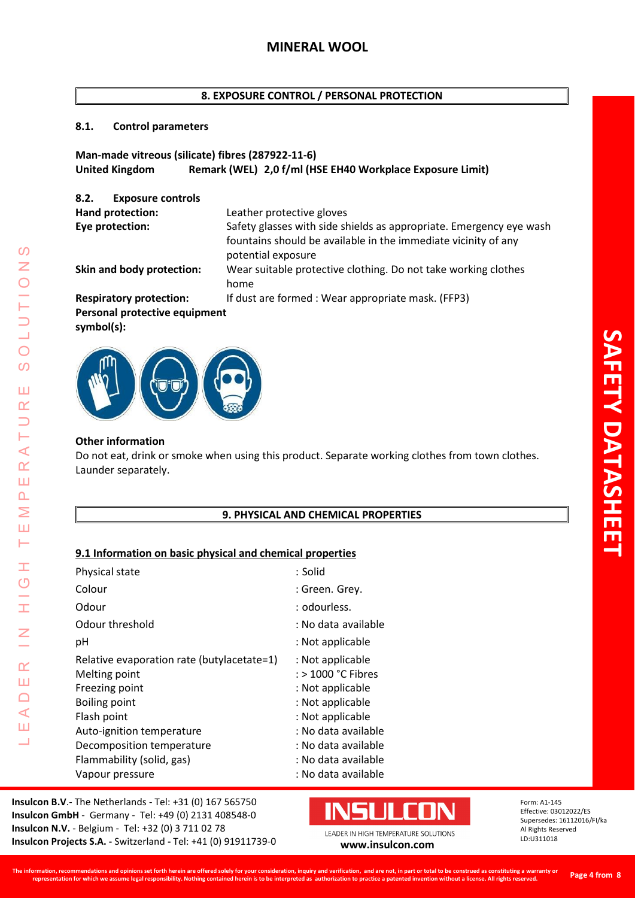# **8. EXPOSURE CONTROL / PERSONAL PROTECTION**

# **8.1. Control parameters**

# **Man-made vitreous (silicate) fibres (287922-11-6) United Kingdom Remark (WEL) 2,0 f/ml (HSE EH40 Workplace Exposure Limit)**

| <b>Exposure controls</b><br>8.2.               |                                                                                                                                                             |
|------------------------------------------------|-------------------------------------------------------------------------------------------------------------------------------------------------------------|
| Hand protection:                               | Leather protective gloves                                                                                                                                   |
| Eye protection:                                | Safety glasses with side shields as appropriate. Emergency eye wash<br>fountains should be available in the immediate vicinity of any<br>potential exposure |
| Skin and body protection:                      | Wear suitable protective clothing. Do not take working clothes<br>home                                                                                      |
| <b>Respiratory protection:</b>                 | If dust are formed : Wear appropriate mask. (FFP3)                                                                                                          |
| Personal protective equipment<br>$symbol(s)$ : |                                                                                                                                                             |
|                                                |                                                                                                                                                             |



# **Other information**

LEADER IN HIGH TEMPERATURE SOLUTIONS

H  $\overline{O}$ 

H

 $\overline{z}$ 

 $\alpha$ Ш  $\Box$  $\triangleleft$ Ш Ц

 $\mathcal{O}$  $\overline{z}$ 

 $\overline{O}$ 

 $\overline{O}$ 

Ш  $\alpha$  $\Box$ Н  $\prec$  $\alpha$ Ш  $\Delta$  $\geq$ Ш Н

Do not eat, drink or smoke when using this product. Separate working clothes from town clothes. Launder separately.

# **9. PHYSICAL AND CHEMICAL PROPERTIES**

# **9.1 Information on basic physical and chemical properties**

| : Solid              |
|----------------------|
| : Green. Grey.       |
| : odourless.         |
| : No data available  |
| : Not applicable     |
| : Not applicable     |
| $:$ > 1000 °C Fibres |
| : Not applicable     |
| : Not applicable     |
| : Not applicable     |
| : No data available  |
| : No data available  |
| : No data available  |
| : No data available  |
|                      |

**Insulcon B.V**.- The Netherlands - Tel: +31 (0) 167 565750 **Insulcon GmbH** - Germany - Tel: +49 (0) 2131 408548-0 **Insulcon N.V.** - Belgium - Tel: +32 (0) 3 711 02 78 **Insulcon Projects S.A. -** Switzerland **-** Tel: +41 (0) 91911739-0 **[www.insulcon.com](http://www.insulcon.com/)**

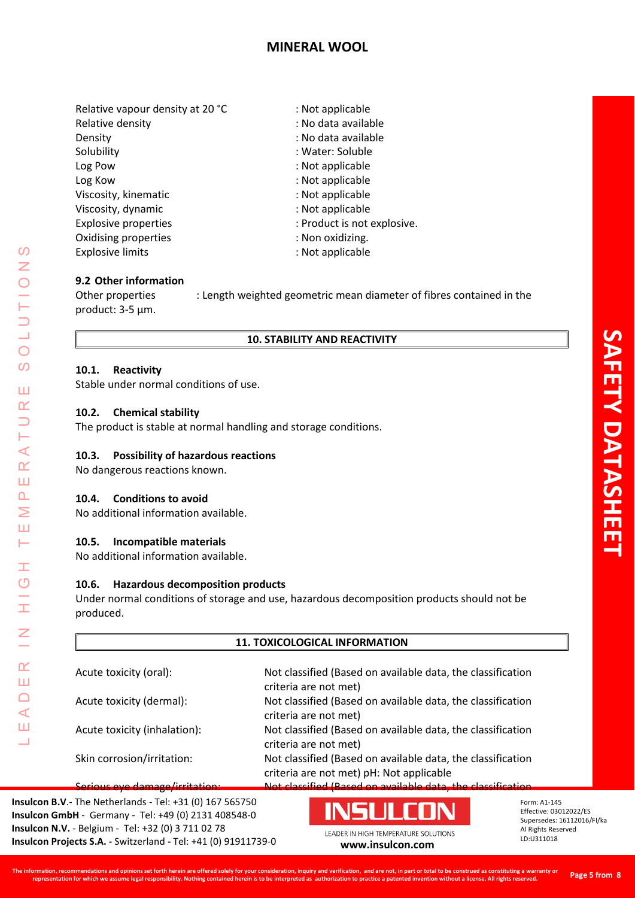# **MINERAL WOOL**

Relative vapour density at 20 °C : Not applicable Relative density **in the case of the CO** is No data available Density **Density** : No data available Solubility : Water: Soluble Log Pow  $\qquad \qquad$  : Not applicable Log Kow in the contract of the contract of the contract of the contract of the contract of the contract of the contract of the contract of the contract of the contract of the contract of the contract of the contract of the Viscosity, kinematic intervals of the system of the SNs of the Viscosity, kinematic Viscosity, dynamic interests of the state of the SNs of the SNs of the SNs of the SNs of the SNs of the SNS of the SNS of the SNS of the SNS of the SNS of the SNS of the SNS of the SNS of the SNS of the SNS of the SNS of t Explosive properties  $\qquad \qquad$ : Product is not explosive. Oxidising properties in the set of the set of the set of the set of the set of the set of the set of the set of the set of the set of the set of the set of the set of the set of the set of the set of the set of the set of Explosive limits **Explosive Limits** : Not applicable

# **9.2 Other information**

Other properties : Length weighted geometric mean diameter of fibres contained in the product: 3-5 µm.

# **10. STABILITY AND REACTIVITY**

# **10.1. Reactivity**

Stable under normal conditions of use.

# **10.2. Chemical stability**

The product is stable at normal handling and storage conditions.

# **10.3. Possibility of hazardous reactions**

No dangerous reactions known.

#### **10.4. Conditions to avoid**

LEADER IN HIGH TEMPERATURE SOLUTIONS

Ŧ  $\overline{O}$ 

I

 $\alpha$ Ш  $\Box$  $\triangleleft$ Ш  $\Box$ 

 $\blacktriangleleft$  $\alpha$ Ш  $\Delta$  $\geq$ Ш Н

 $\mathcal{O}$  $\overline{z}$ 

 $\bigcirc$  $\overline{O}$ 

Ш  $\alpha$ 

No additional information available.

# **10.5. Incompatible materials**

No additional information available.

# **10.6. Hazardous decomposition products**

Under normal conditions of storage and use, hazardous decomposition products should not be produced.

# **11. TOXICOLOGICAL INFORMATION**

| Acute toxicity (oral):         | Not classified (Based on available data, the classification<br>criteria are not met)                    |
|--------------------------------|---------------------------------------------------------------------------------------------------------|
| Acute toxicity (dermal):       | Not classified (Based on available data, the classification<br>criteria are not met)                    |
| Acute toxicity (inhalation):   | Not classified (Based on available data, the classification<br>criteria are not met)                    |
| Skin corrosion/irritation:     | Not classified (Based on available data, the classification                                             |
| Serious eye damage/irritation: | criteria are not met) pH: Not applicable<br>Not classified (Based on available data, the classification |

**Insulcon B.V**.- The Netherlands - Tel: +31 (0) 167 565750 **Insulcon GmbH** - Germany - Tel: +49 (0) 2131 408548-0 **Insulcon N.V.** - Belgium - Tel: +32 (0) 3 711 02 78 **Insulcon Projects S.A. -** Switzerland **-** Tel: +41 (0) 91911739-0 **[www.insulcon.com](http://www.insulcon.com/)**

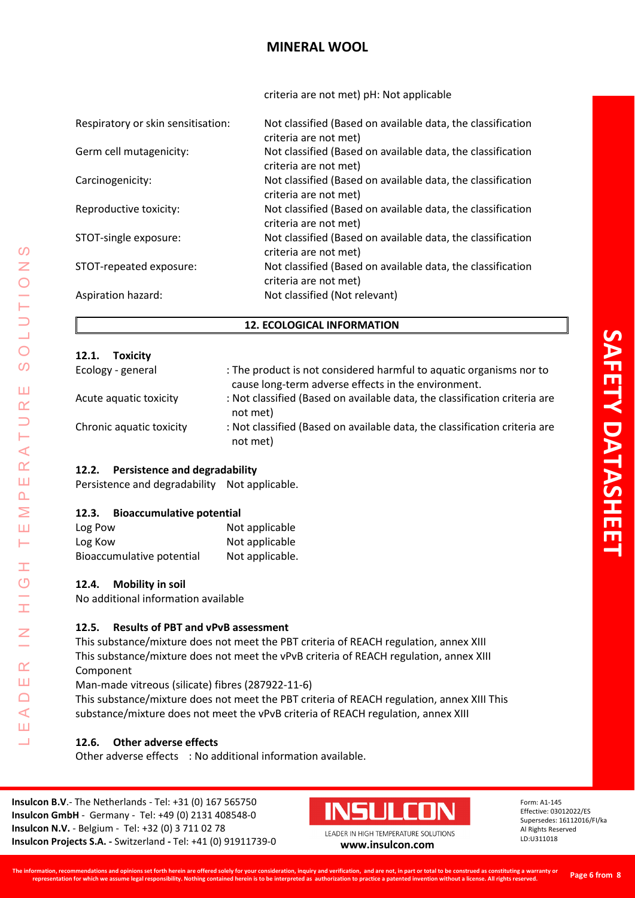# **MINERAL WOOL**

criteria are not met) pH: Not applicable

| Respiratory or skin sensitisation: | Not classified (Based on available data, the classification<br>criteria are not met) |
|------------------------------------|--------------------------------------------------------------------------------------|
| Germ cell mutagenicity:            | Not classified (Based on available data, the classification<br>criteria are not met) |
| Carcinogenicity:                   | Not classified (Based on available data, the classification<br>criteria are not met) |
| Reproductive toxicity:             | Not classified (Based on available data, the classification<br>criteria are not met) |
| STOT-single exposure:              | Not classified (Based on available data, the classification<br>criteria are not met) |
| STOT-repeated exposure:            | Not classified (Based on available data, the classification<br>criteria are not met) |
| Aspiration hazard:                 | Not classified (Not relevant)                                                        |

# **12. ECOLOGICAL INFORMATION**

| 12.1.<br><b>Toxicity</b> |                                                                                                                            |
|--------------------------|----------------------------------------------------------------------------------------------------------------------------|
| Ecology - general        | : The product is not considered harmful to aquatic organisms nor to<br>cause long-term adverse effects in the environment. |
| Acute aquatic toxicity   | : Not classified (Based on available data, the classification criteria are<br>not met)                                     |
| Chronic aquatic toxicity | : Not classified (Based on available data, the classification criteria are<br>not met)                                     |

# **12.2. Persistence and degradability**

Persistence and degradability Not applicable.

# **12.3. Bioaccumulative potential**

| Log Pow                   | Not applicable  |
|---------------------------|-----------------|
| Log Kow                   | Not applicable  |
| Bioaccumulative potential | Not applicable. |

# **12.4. Mobility in soil**

LEADER IN HIGH TEMPERATURE SOLUTIONS

Ŧ  $\overline{O}$ 

İ

 $\alpha$ Ш  $\Box$  $\triangleleft$ Ш Ц

 $\Omega$  $\overline{z}$ 

 $\bigcirc$  $\overline{O}$ 

Ш  $\alpha$  $\Box$ H  $\prec$  $\underline{\alpha}$ Ш  $\Delta$ Σ Ш Н

No additional information available

# **12.5. Results of PBT and vPvB assessment**

This substance/mixture does not meet the PBT criteria of REACH regulation, annex XIII This substance/mixture does not meet the vPvB criteria of REACH regulation, annex XIII Component

Man-made vitreous (silicate) fibres (287922-11-6)

This substance/mixture does not meet the PBT criteria of REACH regulation, annex XIII This substance/mixture does not meet the vPvB criteria of REACH regulation, annex XIII

# **12.6. Other adverse effects**

Other adverse effects : No additional information available.

**Insulcon B.V**.- The Netherlands - Tel: +31 (0) 167 565750 **Insulcon GmbH** - Germany - Tel: +49 (0) 2131 408548-0 **Insulcon N.V.** - Belgium - Tel: +32 (0) 3 711 02 78 **Insulcon Projects S.A. -** Switzerland **-** Tel: +41 (0) 91911739-0 **[www.insulcon.com](http://www.insulcon.com/)**

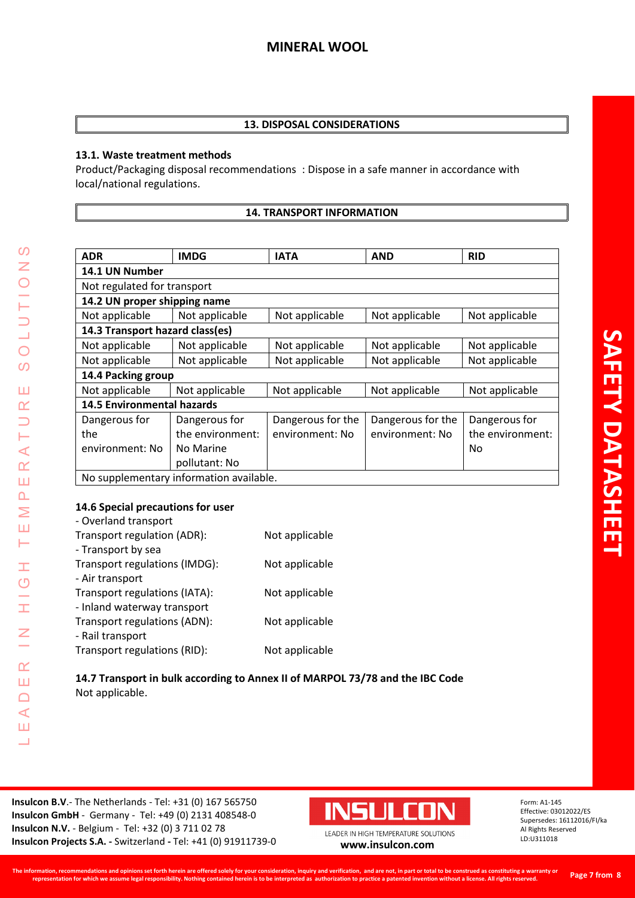# **13. DISPOSAL CONSIDERATIONS**

# **13.1. Waste treatment methods**

Product/Packaging disposal recommendations : Dispose in a safe manner in accordance with local/national regulations.

# **14. TRANSPORT INFORMATION**

| <b>ADR</b>                              | <b>IMDG</b>      | <b>IATA</b>       | <b>AND</b>        | <b>RID</b>       |  |
|-----------------------------------------|------------------|-------------------|-------------------|------------------|--|
| 14.1 UN Number                          |                  |                   |                   |                  |  |
| Not regulated for transport             |                  |                   |                   |                  |  |
| 14.2 UN proper shipping name            |                  |                   |                   |                  |  |
| Not applicable                          | Not applicable   | Not applicable    | Not applicable    | Not applicable   |  |
| 14.3 Transport hazard class(es)         |                  |                   |                   |                  |  |
| Not applicable                          | Not applicable   | Not applicable    | Not applicable    | Not applicable   |  |
| Not applicable                          | Not applicable   | Not applicable    | Not applicable    | Not applicable   |  |
| 14.4 Packing group                      |                  |                   |                   |                  |  |
| Not applicable                          | Not applicable   | Not applicable    | Not applicable    | Not applicable   |  |
| <b>14.5 Environmental hazards</b>       |                  |                   |                   |                  |  |
| Dangerous for                           | Dangerous for    | Dangerous for the | Dangerous for the | Dangerous for    |  |
| the                                     | the environment: | environment: No   | environment: No   | the environment: |  |
| environment: No                         | No Marine        |                   |                   | No               |  |
|                                         | pollutant: No    |                   |                   |                  |  |
| No supplementary information available. |                  |                   |                   |                  |  |

# **14.6 Special precautions for user**

LEADER IN HIGH TEMPERATURE SOLUTIONS

 $\pm$  $\circ$ 

Ŧ

 $\overline{z}$ 

 $\alpha$ Ш  $\Box$  $\triangleleft$ Ш Ц

 $\mathcal{O}$  $\bar{z}$  $\bigcirc$ 

 $\frac{1}{2}$ 

 $\overline{O}$  $\overline{O}$ 

Ш  $\alpha$  $\Box$ Н  $\prec$  $\alpha$ Ш  $\Delta$ Σ Ш Н

| Not applicable |
|----------------|
|                |
| Not applicable |
|                |
| Not applicable |
|                |
| Not applicable |
|                |
| Not applicable |
|                |

**14.7 Transport in bulk according to Annex II of MARPOL 73/78 and the IBC Code** Not applicable.